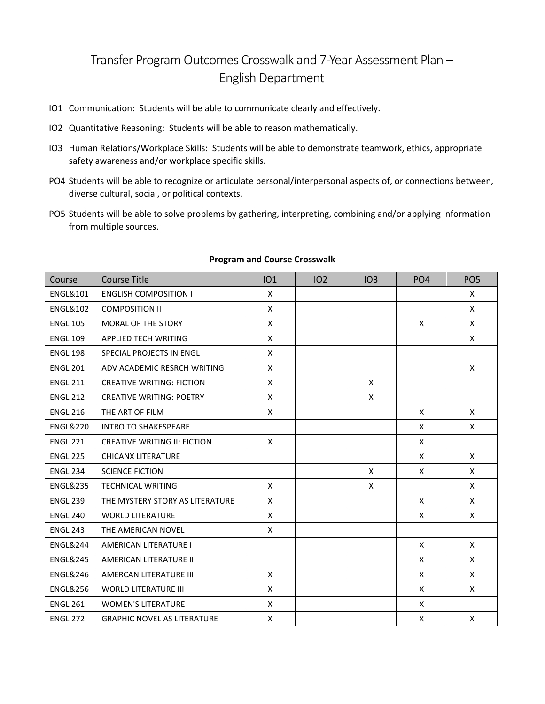## Transfer Program Outcomes Crosswalk and 7-Year Assessment Plan – English Department

- IO1 Communication: Students will be able to communicate clearly and effectively.
- IO2 Quantitative Reasoning: Students will be able to reason mathematically.
- IO3 Human Relations/Workplace Skills: Students will be able to demonstrate teamwork, ethics, appropriate safety awareness and/or workplace specific skills.
- PO4 Students will be able to recognize or articulate personal/interpersonal aspects of, or connections between, diverse cultural, social, or political contexts.
- PO5 Students will be able to solve problems by gathering, interpreting, combining and/or applying information from multiple sources.

| Course              | <b>Course Title</b>                 | IO1 | IO <sub>2</sub> | IO3      | PO <sub>4</sub> | PO <sub>5</sub> |
|---------------------|-------------------------------------|-----|-----------------|----------|-----------------|-----------------|
| <b>ENGL&amp;101</b> | <b>ENGLISH COMPOSITION I</b>        | X   |                 |          |                 | X               |
| <b>ENGL&amp;102</b> | <b>COMPOSITION II</b>               | X   |                 |          |                 | X               |
| <b>ENGL 105</b>     | <b>MORAL OF THE STORY</b>           | X   |                 |          | X               | X               |
| <b>ENGL 109</b>     | <b>APPLIED TECH WRITING</b>         | X   |                 |          |                 | X               |
| <b>ENGL 198</b>     | SPECIAL PROJECTS IN ENGL            | X   |                 |          |                 |                 |
| <b>ENGL 201</b>     | ADV ACADEMIC RESRCH WRITING         | X   |                 |          |                 | X               |
| <b>ENGL 211</b>     | <b>CREATIVE WRITING: FICTION</b>    | X   |                 | $\times$ |                 |                 |
| <b>ENGL 212</b>     | <b>CREATIVE WRITING: POETRY</b>     | X   |                 | X        |                 |                 |
| <b>ENGL 216</b>     | THE ART OF FILM                     | X   |                 |          | X               | X               |
| <b>ENGL&amp;220</b> | <b>INTRO TO SHAKESPEARE</b>         |     |                 |          | X               | X               |
| <b>ENGL 221</b>     | <b>CREATIVE WRITING II: FICTION</b> | X   |                 |          | X               |                 |
| <b>ENGL 225</b>     | <b>CHICANX LITERATURE</b>           |     |                 |          | X               | X               |
| <b>ENGL 234</b>     | <b>SCIENCE FICTION</b>              |     |                 | $\times$ | X               | X               |
| <b>ENGL&amp;235</b> | <b>TECHNICAL WRITING</b>            | X   |                 | X        |                 | X               |
| <b>ENGL 239</b>     | THE MYSTERY STORY AS LITERATURE     | X   |                 |          | X               | X               |
| <b>ENGL 240</b>     | <b>WORLD LITERATURE</b>             | X   |                 |          | X               | X               |
| <b>ENGL 243</b>     | THE AMERICAN NOVEL                  | X   |                 |          |                 |                 |
| <b>ENGL&amp;244</b> | AMERICAN LITERATURE I               |     |                 |          | X               | X               |
| <b>ENGL&amp;245</b> | AMERICAN LITERATURE II              |     |                 |          | X               | $\mathsf{x}$    |
| <b>ENGL&amp;246</b> | AMERCAN LITERATURE III              | X   |                 |          | X               | X               |
| <b>ENGL&amp;256</b> | <b>WORLD LITERATURE III</b>         | X   |                 |          | X               | X               |
| <b>ENGL 261</b>     | <b>WOMEN'S LITERATURE</b>           | X   |                 |          | X               |                 |
| <b>ENGL 272</b>     | <b>GRAPHIC NOVEL AS LITERATURE</b>  | X   |                 |          | X               | X               |

## **Program and Course Crosswalk**